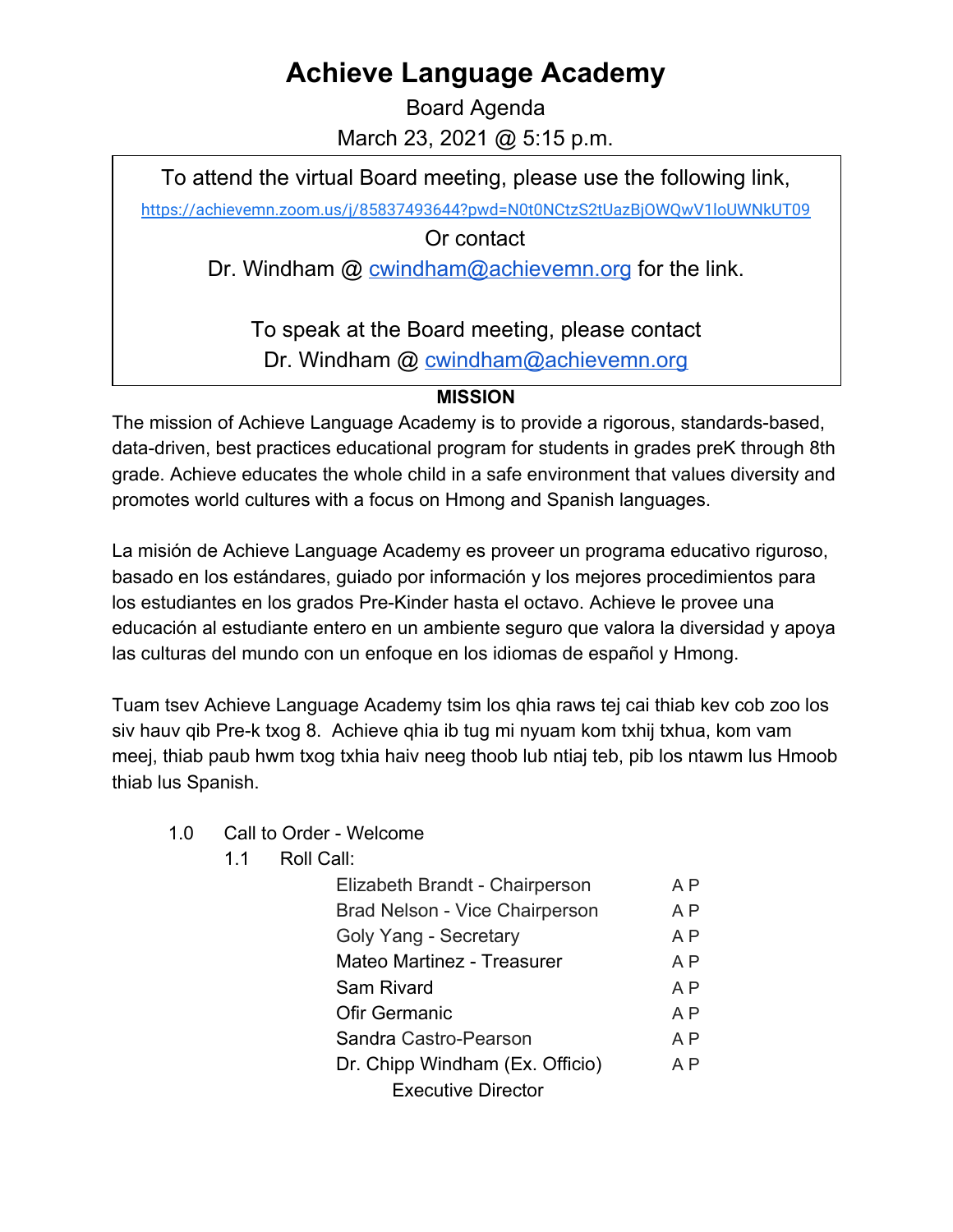## **Achieve Language Academy**

Board Agenda March 23, 2021 @ 5:15 p.m.

To attend the virtual Board meeting, please use the following link,

<https://achievemn.zoom.us/j/85837493644?pwd=N0t0NCtzS2tUazBjOWQwV1loUWNkUT09>

Or contact

Dr. Windham @ [cwindham@achievemn.org](mailto:cwindham@achievemn.org) for the link.

To speak at the Board meeting, please contact Dr. Windham @ [cwindham@achievemn.org](mailto:cwindham@achievemn.org)

## **MISSION**

The mission of Achieve Language Academy is to provide a rigorous, standards-based, data-driven, best practices educational program for students in grades preK through 8th grade. Achieve educates the whole child in a safe environment that values diversity and promotes world cultures with a focus on Hmong and Spanish languages.

La misión de Achieve Language Academy es proveer un programa educativo riguroso, basado en los estándares, guiado por información y los mejores procedimientos para los estudiantes en los grados Pre-Kinder hasta el octavo. Achieve le provee una educación al estudiante entero en un ambiente seguro que valora la diversidad y apoya las culturas del mundo con un enfoque en los idiomas de español y Hmong.

Tuam tsev Achieve Language Academy tsim los qhia raws tej cai thiab kev cob zoo los siv hauv qib Pre-k txog 8. Achieve qhia ib tug mi nyuam kom txhij txhua, kom vam meej, thiab paub hwm txog txhia haiv neeg thoob lub ntiaj teb, pib los ntawm lus Hmoob thiab lus Spanish.

- 1.0 Call to Order Welcome
	- 1.1 Roll Call:

| Elizabeth Brandt - Chairperson  | A P |
|---------------------------------|-----|
| Brad Nelson - Vice Chairperson  | A P |
| Goly Yang - Secretary           | A P |
| Mateo Martinez - Treasurer      | A P |
| Sam Rivard                      | A P |
| Ofir Germanic                   | A P |
| Sandra Castro-Pearson           |     |
| Dr. Chipp Windham (Ex. Officio) |     |
| <b>Executive Director</b>       |     |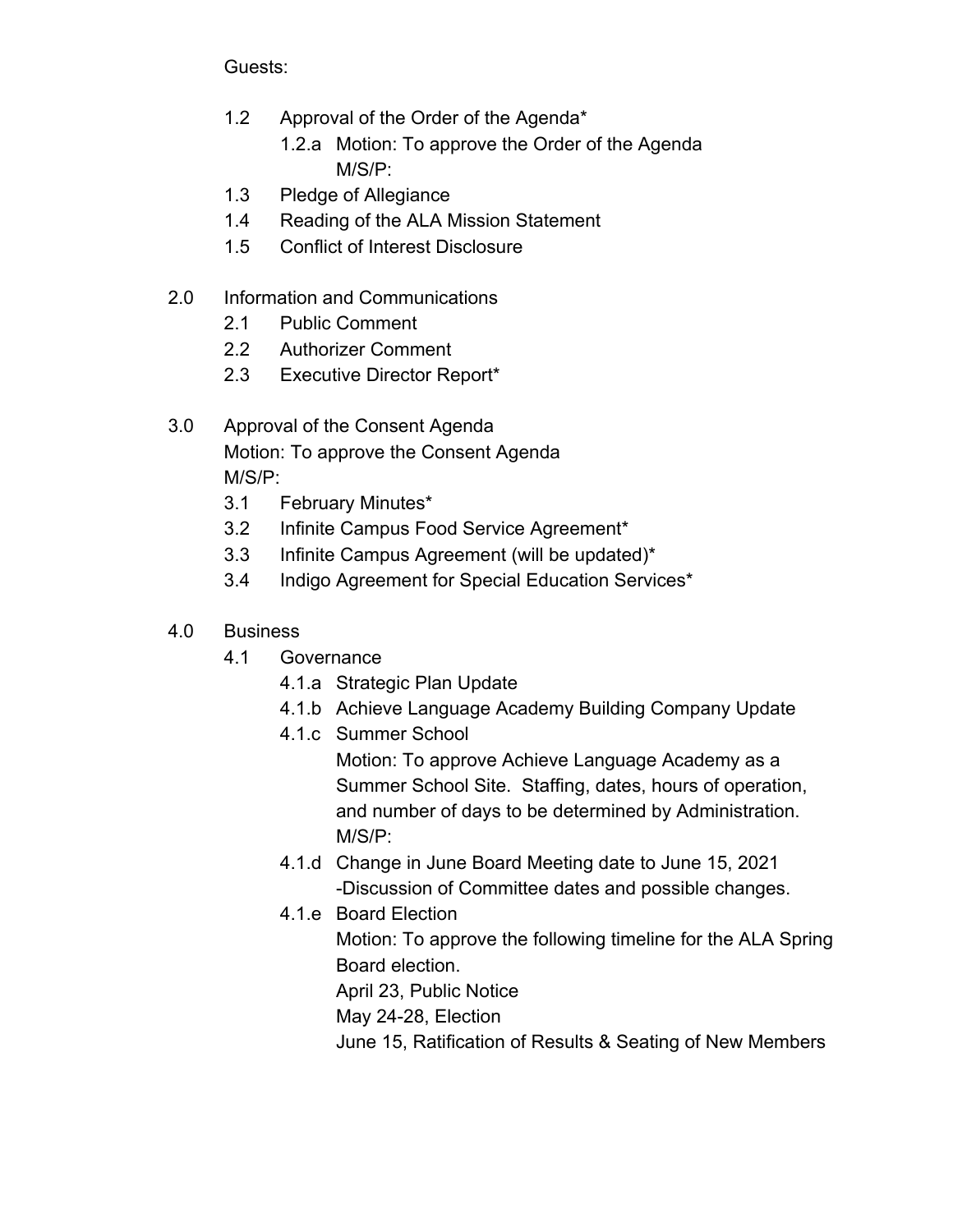Guests:

- 1.2 Approval of the Order of the Agenda\*
	- 1.2.a Motion: To approve the Order of the Agenda M/S/P:
- 1.3 Pledge of Allegiance
- 1.4 Reading of the ALA Mission Statement
- 1.5 Conflict of Interest Disclosure
- 2.0 Information and Communications
	- 2.1 Public Comment
	- 2.2 Authorizer Comment
	- 2.3 Executive Director Report\*
- 3.0 Approval of the Consent Agenda Motion: To approve the Consent Agenda M/S/P:
	- 3.1 February Minutes\*
	- 3.2 Infinite Campus Food Service Agreement\*
	- 3.3 Infinite Campus Agreement (will be updated)\*
	- 3.4 Indigo Agreement for Special Education Services\*
- 4.0 Business
	- 4.1 Governance
		- 4.1.a Strategic Plan Update
		- 4.1.b Achieve Language Academy Building Company Update
		- 4.1.c Summer School
			- Motion: To approve Achieve Language Academy as a Summer School Site. Staffing, dates, hours of operation, and number of days to be determined by Administration. M/S/P:
		- 4.1.d Change in June Board Meeting date to June 15, 2021 -Discussion of Committee dates and possible changes.
		- 4.1.e Board Election Motion: To approve the following timeline for the ALA Spring Board election. April 23, Public Notice May 24-28, Election
			- June 15, Ratification of Results & Seating of New Members